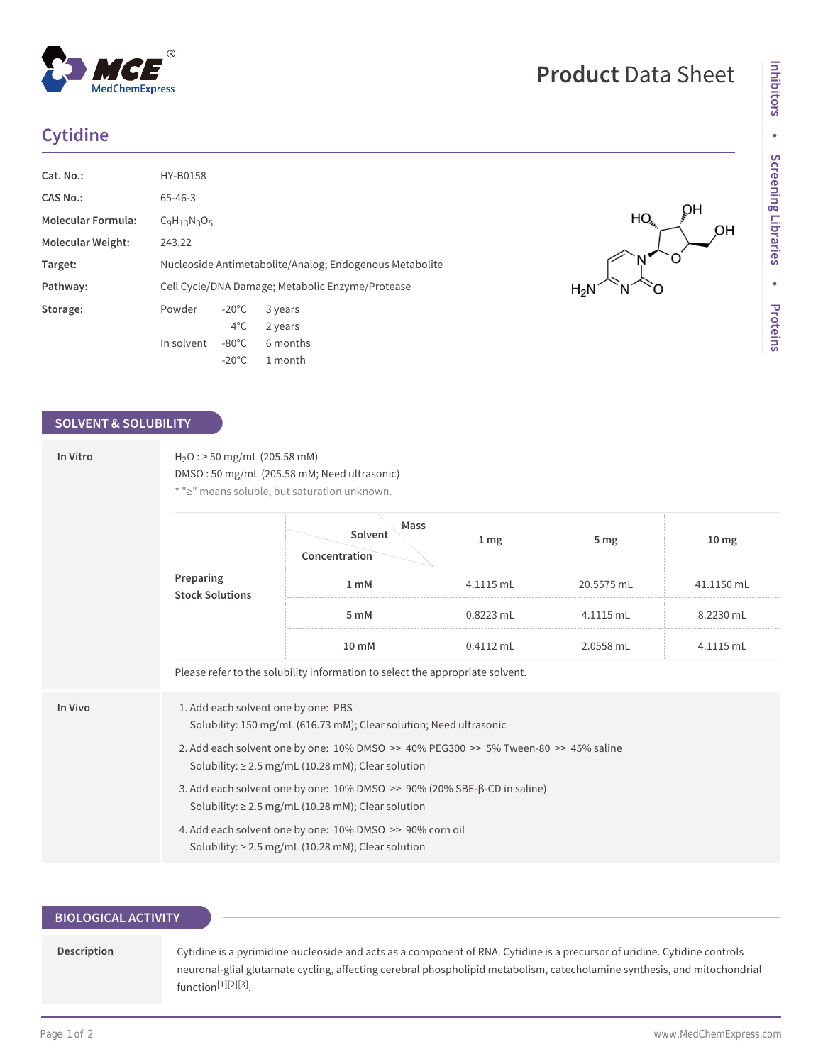# **Cytidine**

**MedChemExpress** 

| Cat. No.:                 | <b>HY-B0158</b>                                         |                 |          |
|---------------------------|---------------------------------------------------------|-----------------|----------|
| CAS No.:                  | $65 - 46 - 3$                                           |                 |          |
| <b>Molecular Formula:</b> | $C_9H_{13}N_3O_5$                                       |                 |          |
| <b>Molecular Weight:</b>  | 243.22                                                  |                 |          |
| Target:                   | Nucleoside Antimetabolite/Analog; Endogenous Metabolite |                 |          |
| Pathway:                  | Cell Cycle/DNA Damage; Metabolic Enzyme/Protease        |                 |          |
| Storage:                  | Powder                                                  | $-20^{\circ}$ C | 3 years  |
|                           |                                                         | $4^{\circ}$ C   | 2 years  |
|                           | In solvent                                              | $-80^{\circ}$ C | 6 months |
|                           |                                                         | $-20^{\circ}$ C | 1 month  |

#### **SOLVENT & SOLUBILITY**

| In Vitro<br>Preparing<br><b>Stock Solutions</b> | $H_2O$ : $\geq$ 50 mg/mL (205.58 mM)<br>DMSO: 50 mg/mL (205.58 mM; Need ultrasonic)<br>* ">" means soluble, but saturation unknown.                                                                                                                         |                                                                               |                 |            |                  |  |  |  |
|-------------------------------------------------|-------------------------------------------------------------------------------------------------------------------------------------------------------------------------------------------------------------------------------------------------------------|-------------------------------------------------------------------------------|-----------------|------------|------------------|--|--|--|
|                                                 |                                                                                                                                                                                                                                                             | Mass<br>Solvent<br>Concentration                                              | 1 <sub>mg</sub> | 5 mg       | 10 <sub>mg</sub> |  |  |  |
|                                                 |                                                                                                                                                                                                                                                             | 1 <sub>m</sub> M                                                              | 4.1115 mL       | 20.5575 mL | 41.1150 mL       |  |  |  |
|                                                 |                                                                                                                                                                                                                                                             | 5 mM                                                                          | 0.8223 mL       | 4.1115 mL  | 8.2230 mL        |  |  |  |
|                                                 |                                                                                                                                                                                                                                                             | 10 mM                                                                         | $0.4112$ mL     | 2.0558 mL  | 4.1115 mL        |  |  |  |
|                                                 |                                                                                                                                                                                                                                                             | Please refer to the solubility information to select the appropriate solvent. |                 |            |                  |  |  |  |
| In Vivo                                         | 1. Add each solvent one by one: PBS<br>Solubility: 150 mg/mL (616.73 mM); Clear solution; Need ultrasonic<br>2. Add each solvent one by one: 10% DMSO >> 40% PEG300 >> 5% Tween-80 >> 45% saline<br>Solubility: $\geq$ 2.5 mg/mL (10.28 mM); Clear solution |                                                                               |                 |            |                  |  |  |  |
|                                                 | 3. Add each solvent one by one: 10% DMSO >> 90% (20% SBE-β-CD in saline)<br>Solubility: $\geq$ 2.5 mg/mL (10.28 mM); Clear solution                                                                                                                         |                                                                               |                 |            |                  |  |  |  |
|                                                 | 4. Add each solvent one by one: 10% DMSO >> 90% corn oil<br>Solubility: $\geq$ 2.5 mg/mL (10.28 mM); Clear solution                                                                                                                                         |                                                                               |                 |            |                  |  |  |  |

## **BIOLOGICAL ACTIVITY**

**Description** Cytidine is a pyrimidine nucleoside and acts as a component of RNA. Cytidine is a precursor of uridine. Cytidine controls neuronal-glial glutamate cycling, affecting cerebral phospholipid metabolism, catecholamine synthesis, and mitochondrial function[1][2][3] .

HO

 $H_2N$ 

OH

OH